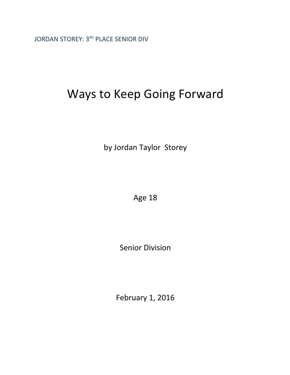JORDAN STOREY: 3RD PLACE SENIOR DIV

## Ways to Keep Going Forward

by Jordan Taylor Storey

Age 18

Senior Division

February 1, 2016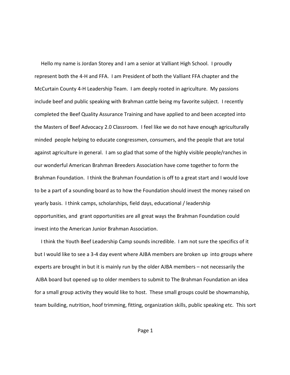Hello my name is Jordan Storey and I am a senior at Valliant High School. I proudly represent both the 4-H and FFA. I am President of both the Valliant FFA chapter and the McCurtain County 4-H Leadership Team. I am deeply rooted in agriculture. My passions include beef and public speaking with Brahman cattle being my favorite subject. I recently completed the Beef Quality Assurance Training and have applied to and been accepted into the Masters of Beef Advocacy 2.0 Classroom. I feel like we do not have enough agriculturally minded people helping to educate congressmen, consumers, and the people that are total against agriculture in general. I am so glad that some of the highly visible people/ranches in our wonderful American Brahman Breeders Association have come together to form the Brahman Foundation. I think the Brahman Foundation is off to a great start and I would love to be a part of a sounding board as to how the Foundation should invest the money raised on yearly basis. I think camps, scholarships, field days, educational / leadership opportunities, and grant opportunities are all great ways the Brahman Foundation could invest into the American Junior Brahman Association.

 I think the Youth Beef Leadership Camp sounds incredible. I am not sure the specifics of it but I would like to see a 3-4 day event where AJBA members are broken up into groups where experts are brought in but it is mainly run by the older AJBA members – not necessarily the AJBA board but opened up to older members to submit to The Brahman Foundation an idea for a small group activity they would like to host. These small groups could be showmanship, team building, nutrition, hoof trimming, fitting, organization skills, public speaking etc. This sort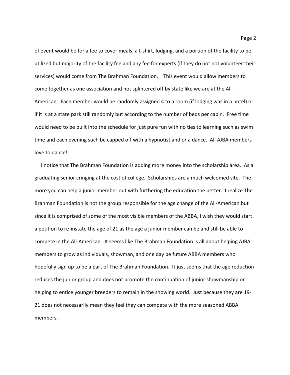of event would be for a fee to cover meals, a t-shirt, lodging, and a portion of the facility to be utilized but majority of the facility fee and any fee for experts (if they do not not volunteer their services) would come from The Brahman Foundation. This event would allow members to come together as one association and not splintered off by state like we are at the All-American. Each member would be randomly assigned 4 to a room (if lodging was in a hotel) or if it is at a state park still randomly but according to the number of beds per cabin. Free time would need to be built into the schedule for just pure fun with no ties to learning such as swim time and each evening such be capped off with a hypnotist and or a dance. All AJBA members love to dance!

 I notice that The Brahman Foundation is adding more money into the scholarship area. As a graduating senior cringing at the cost of college. Scholarships are a much welcomed site. The more you can help a junior member out with furthering the education the better. I realize The Brahman Foundation is not the group responsible for the age change of the All-American but since it is comprised of some of the most visible members of the ABBA, I wish they would start a petition to re-instate the age of 21 as the age a junior member can be and still be able to compete in the All-American. It seems like The Brahman Foundation is all about helping AJBA members to grow as individuals, showman, and one day be future ABBA members who hopefully sign up to be a part of The Brahman Foundation. It just seems that the age reduction reduces the junior group and does not promote the continuation of junior showmanship or helping to entice younger breeders to remain in the showing world. Just because they are 19- 21 does not necessarily mean they feel they can compete with the more seasoned ABBA members.